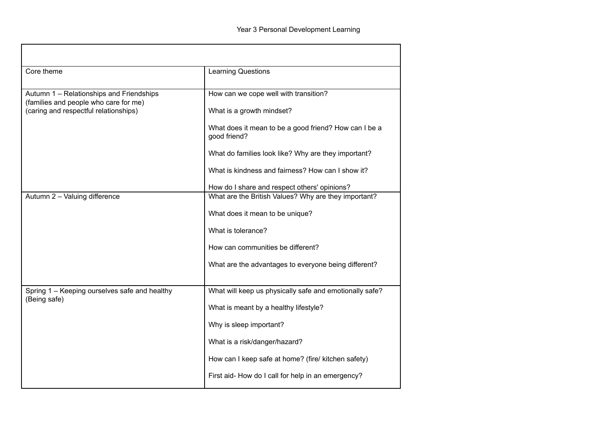| Core theme                                                                                                                 | <b>Learning Questions</b>                                             |
|----------------------------------------------------------------------------------------------------------------------------|-----------------------------------------------------------------------|
| Autumn 1 - Relationships and Friendships<br>(families and people who care for me)<br>(caring and respectful relationships) | How can we cope well with transition?                                 |
|                                                                                                                            | What is a growth mindset?                                             |
|                                                                                                                            | What does it mean to be a good friend? How can I be a<br>good friend? |
|                                                                                                                            | What do families look like? Why are they important?                   |
|                                                                                                                            | What is kindness and fairness? How can I show it?                     |
|                                                                                                                            | How do I share and respect others' opinions?                          |
| Autumn 2 - Valuing difference                                                                                              | What are the British Values? Why are they important?                  |
|                                                                                                                            | What does it mean to be unique?                                       |
|                                                                                                                            | What is tolerance?                                                    |
|                                                                                                                            | How can communities be different?                                     |
|                                                                                                                            | What are the advantages to everyone being different?                  |
|                                                                                                                            |                                                                       |
| Spring 1 - Keeping ourselves safe and healthy<br>(Being safe)                                                              | What will keep us physically safe and emotionally safe?               |
|                                                                                                                            | What is meant by a healthy lifestyle?                                 |
|                                                                                                                            | Why is sleep important?                                               |
|                                                                                                                            | What is a risk/danger/hazard?                                         |
|                                                                                                                            | How can I keep safe at home? (fire/ kitchen safety)                   |
|                                                                                                                            | First aid-How do I call for help in an emergency?                     |

ा